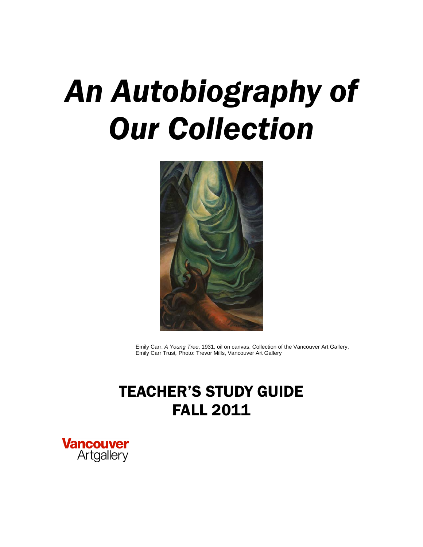# *An Autobiography of Our Collection*



Emily Carr, *A Young Tree*, 1931, oil on canvas, Collection of the Vancouver Art Gallery, Emily Carr Trust*,* Photo: Trevor Mills, Vancouver Art Gallery

# TEACHER'S STUDY GUIDE FALL 2011

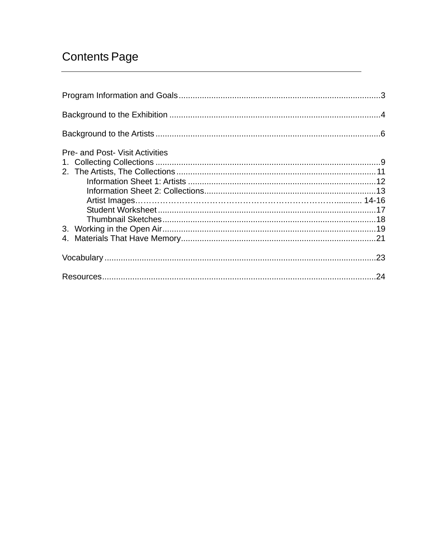# **Contents Page**

| <b>Pre- and Post- Visit Activities</b> |  |
|----------------------------------------|--|
|                                        |  |
|                                        |  |
|                                        |  |
|                                        |  |
|                                        |  |
|                                        |  |
|                                        |  |
|                                        |  |
|                                        |  |
|                                        |  |
|                                        |  |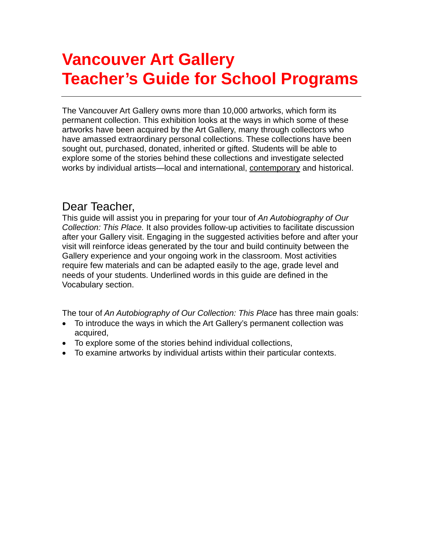# **Vancouver Art Gallery Teacher's Guide for School Programs**

The Vancouver Art Gallery owns more than 10,000 artworks, which form its permanent collection. This exhibition looks at the ways in which some of these artworks have been acquired by the Art Gallery, many through collectors who have amassed extraordinary personal collections. These collections have been sought out, purchased, donated, inherited or gifted. Students will be able to explore some of the stories behind these collections and investigate selected works by individual artists—local and international, contemporary and historical.

# Dear Teacher,

This guide will assist you in preparing for your tour of *An Autobiography of Our Collection: This Place.* It also provides follow-up activities to facilitate discussion after your Gallery visit. Engaging in the suggested activities before and after your visit will reinforce ideas generated by the tour and build continuity between the Gallery experience and your ongoing work in the classroom. Most activities require few materials and can be adapted easily to the age, grade level and needs of your students. Underlined words in this guide are defined in the Vocabulary section.

The tour of *An Autobiography of Our Collection: This Place* has three main goals:

- To introduce the ways in which the Art Gallery's permanent collection was acquired,
- To explore some of the stories behind individual collections,
- To examine artworks by individual artists within their particular contexts.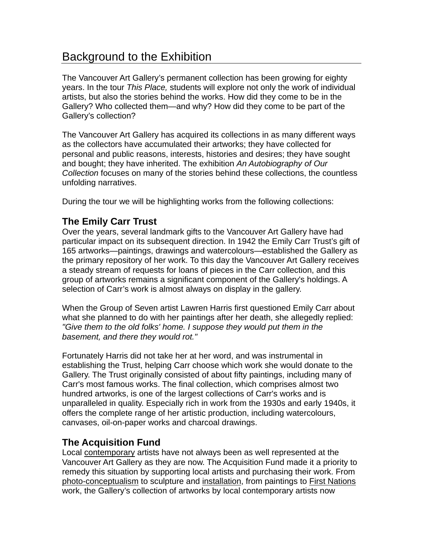# Background to the Exhibition

The Vancouver Art Gallery's permanent collection has been growing for eighty years. In the tour *This Place,* students will explore not only the work of individual artists, but also the stories behind the works. How did they come to be in the Gallery? Who collected them—and why? How did they come to be part of the Gallery's collection?

The Vancouver Art Gallery has acquired its collections in as many different ways as the collectors have accumulated their artworks; they have collected for personal and public reasons, interests, histories and desires; they have sought and bought; they have inherited. The exhibition *An Autobiography of Our Collection* focuses on many of the stories behind these collections, the countless unfolding narratives.

During the tour we will be highlighting works from the following collections:

# **The Emily Carr Trust**

Over the years, several landmark gifts to the Vancouver Art Gallery have had particular impact on its subsequent direction. In 1942 the Emily Carr Trust's gift of 165 artworks—paintings, drawings and watercolours—established the Gallery as the primary repository of her work. To this day the Vancouver Art Gallery receives a steady stream of requests for loans of pieces in the Carr collection, and this group of artworks remains a significant component of the Gallery's holdings. A selection of Carr's work is almost always on display in the gallery.

When the Group of Seven artist Lawren Harris first questioned Emily Carr about what she planned to do with her paintings after her death, she allegedly replied: *"Give them to the old folks' home. I suppose they would put them in the basement, and there they would rot."*

Fortunately Harris did not take her at her word, and was instrumental in establishing the Trust, helping Carr choose which work she would donate to the Gallery. The Trust originally consisted of about fifty paintings, including many of Carr's most famous works. The final collection, which comprises almost two hundred artworks, is one of the largest collections of Carr's works and is unparalleled in quality. Especially rich in work from the 1930s and early 1940s, it offers the complete range of her artistic production, including watercolours, canvases, oil-on-paper works and charcoal drawings.

# **The Acquisition Fund**

Local contemporary artists have not always been as well represented at the Vancouver Art Gallery as they are now. The Acquisition Fund made it a priority to remedy this situation by supporting local artists and purchasing their work. From photo-conceptualism to sculpture and installation, from paintings to First Nations work, the Gallery's collection of artworks by local contemporary artists now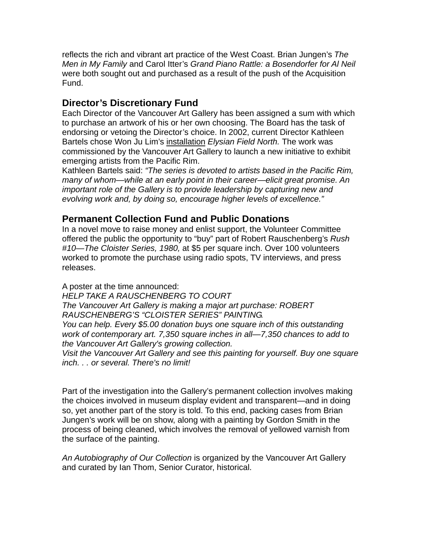reflects the rich and vibrant art practice of the West Coast. Brian Jungen's *The Men in My Family* and Carol Itter's *Grand Piano Rattle: a Bosendorfer for Al Neil* were both sought out and purchased as a result of the push of the Acquisition Fund.

# **Director's Discretionary Fund**

Each Director of the Vancouver Art Gallery has been assigned a sum with which to purchase an artwork of his or her own choosing. The Board has the task of endorsing or vetoing the Director's choice. In 2002, current Director Kathleen Bartels chose Won Ju Lim's installation *Elysian Field North.* The work was commissioned by the Vancouver Art Gallery to launch a new initiative to exhibit emerging artists from the Pacific Rim.

Kathleen Bartels said: *"The series is devoted to artists based in the Pacific Rim, many of whom—while at an early point in their career—elicit great promise. An important role of the Gallery is to provide leadership by capturing new and evolving work and, by doing so, encourage higher levels of excellence."* 

# **Permanent Collection Fund and Public Donations**

In a novel move to raise money and enlist support, the Volunteer Committee offered the public the opportunity to "buy" part of Robert Rauschenberg's *Rush #10—The Cloister Series, 1980,* at \$5 per square inch. Over 100 volunteers worked to promote the purchase using radio spots, TV interviews, and press releases.

A poster at the time announced:

*HELP TAKE A RAUSCHENBERG TO COURT The Vancouver Art Gallery is making a major art purchase: ROBERT RAUSCHENBERG'S "CLOISTER SERIES" PAINTING. You can help. Every \$5.00 donation buys one square inch of this outstanding work of contemporary art. 7,350 square inches in all—7,350 chances to add to the Vancouver Art Gallery's growing collection.* 

*Visit the Vancouver Art Gallery and see this painting for yourself. Buy one square inch. . . or several. There's no limit!* 

Part of the investigation into the Gallery's permanent collection involves making the choices involved in museum display evident and transparent—and in doing so, yet another part of the story is told. To this end, packing cases from Brian Jungen's work will be on show, along with a painting by Gordon Smith in the process of being cleaned, which involves the removal of yellowed varnish from the surface of the painting.

*An Autobiography of Our Collection* is organized by the Vancouver Art Gallery and curated by Ian Thom, Senior Curator, historical.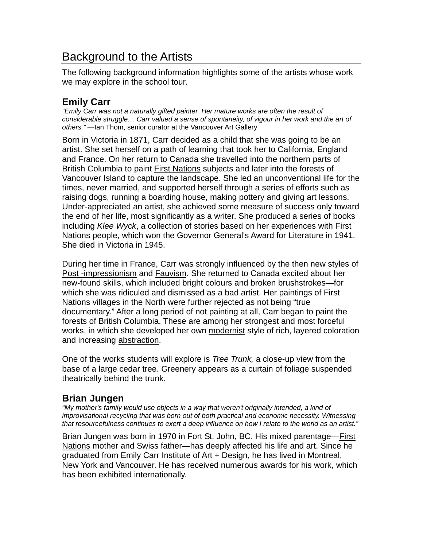# Background to the Artists

The following background information highlights some of the artists whose work we may explore in the school tour.

# **Emily Carr**

*"Emily Carr was not a naturally gifted painter. Her mature works are often the result of considerable struggle… Carr valued a sense of spontaneity, of vigour in her work and the art of others."* —Ian Thom, senior curator at the Vancouver Art Gallery

Born in Victoria in 1871, Carr decided as a child that she was going to be an artist. She set herself on a path of learning that took her to California, England and France. On her return to Canada she travelled into the northern parts of British Columbia to paint First Nations subjects and later into the forests of Vancouver Island to capture the landscape. She led an unconventional life for the times, never married, and supported herself through a series of efforts such as raising dogs, running a boarding house, making pottery and giving art lessons. Under-appreciated an artist, she achieved some measure of success only toward the end of her life, most significantly as a writer. She produced a series of books including *Klee Wyck*, a collection of stories based on her experiences with First Nations people, which won the Governor General's Award for Literature in 1941. She died in Victoria in 1945.

During her time in France, Carr was strongly influenced by the then new styles of Post -impressionism and Fauvism. She returned to Canada excited about her new-found skills, which included bright colours and broken brushstrokes—for which she was ridiculed and dismissed as a bad artist. Her paintings of First Nations villages in the North were further rejected as not being "true documentary." After a long period of not painting at all, Carr began to paint the forests of British Columbia. These are among her strongest and most forceful works, in which she developed her own modernist style of rich, layered coloration and increasing abstraction.

One of the works students will explore is *Tree Trunk,* a close-up view from the base of a large cedar tree. Greenery appears as a curtain of foliage suspended theatrically behind the trunk.

# **Brian Jungen**

*"My mother's family would use objects in a way that weren't originally intended, a kind of improvisational recycling that was born out of both practical and economic necessity. Witnessing that resourcefulness continues to exert a deep influence on how I relate to the world as an artist."* 

Brian Jungen was born in 1970 in Fort St. John, BC. His mixed parentage—First Nations mother and Swiss father—has deeply affected his life and art. Since he graduated from Emily Carr Institute of Art + Design, he has lived in Montreal, New York and Vancouver. He has received numerous awards for his work, which has been exhibited internationally.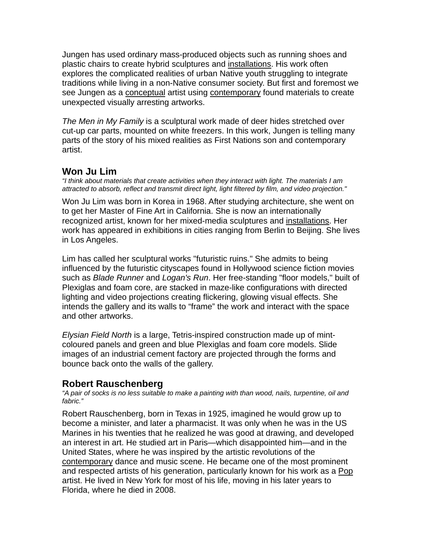Jungen has used ordinary mass-produced objects such as running shoes and plastic chairs to create hybrid sculptures and installations. His work often explores the complicated realities of urban Native youth struggling to integrate traditions while living in a non-Native consumer society. But first and foremost we see Jungen as a conceptual artist using contemporary found materials to create unexpected visually arresting artworks.

*The Men in My Family* is a sculptural work made of deer hides stretched over cut-up car parts, mounted on white freezers. In this work, Jungen is telling many parts of the story of his mixed realities as First Nations son and contemporary artist.

# **Won Ju Lim**

*"I think about materials that create activities when they interact with light. The materials I am attracted to absorb, reflect and transmit direct light, light filtered by film, and video projection."* 

Won Ju Lim was born in Korea in 1968. After studying architecture, she went on to get her Master of Fine Art in California. She is now an internationally recognized artist, known for her mixed-media sculptures and installations. Her work has appeared in exhibitions in cities ranging from Berlin to Beijing. She lives in Los Angeles.

Lim has called her sculptural works "futuristic ruins." She admits to being influenced by the futuristic cityscapes found in Hollywood science fiction movies such as *Blade Runner* and *Logan's Run*. Her free-standing "floor models," built of Plexiglas and foam core, are stacked in maze-like configurations with directed lighting and video projections creating flickering, glowing visual effects. She intends the gallery and its walls to "frame" the work and interact with the space and other artworks.

*Elysian Field North* is a large, Tetris-inspired construction made up of mintcoloured panels and green and blue Plexiglas and foam core models. Slide images of an industrial cement factory are projected through the forms and bounce back onto the walls of the gallery.

# **Robert Rauschenberg**

*"A pair of socks is no less suitable to make a painting with than wood, nails, turpentine, oil and fabric."* 

Robert Rauschenberg, born in Texas in 1925, imagined he would grow up to become a minister, and later a pharmacist. It was only when he was in the US Marines in his twenties that he realized he was good at drawing, and developed an interest in art. He studied art in Paris—which disappointed him—and in the United States, where he was inspired by the artistic revolutions of the contemporary dance and music scene. He became one of the most prominent and respected artists of his generation, particularly known for his work as a Pop artist. He lived in New York for most of his life, moving in his later years to Florida, where he died in 2008.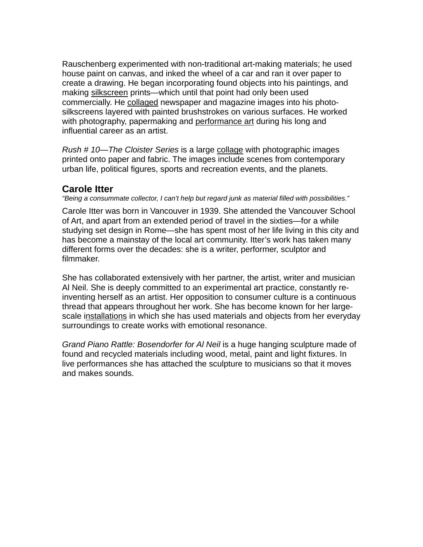Rauschenberg experimented with non-traditional art-making materials; he used house paint on canvas, and inked the wheel of a car and ran it over paper to create a drawing. He began incorporating found objects into his paintings, and making silkscreen prints—which until that point had only been used commercially. He collaged newspaper and magazine images into his photosilkscreens layered with painted brushstrokes on various surfaces. He worked with photography, papermaking and performance art during his long and influential career as an artist.

*Rush # 10—The Cloister Series* is a large collage with photographic images printed onto paper and fabric. The images include scenes from contemporary urban life, political figures, sports and recreation events, and the planets.

# **Carole Itter**

*"Being a consummate collector, I can't help but regard junk as material filled with possibilities."* 

Carole Itter was born in Vancouver in 1939. She attended the Vancouver School of Art, and apart from an extended period of travel in the sixties—for a while studying set design in Rome—she has spent most of her life living in this city and has become a mainstay of the local art community. Itter's work has taken many different forms over the decades: she is a writer, performer, sculptor and filmmaker.

She has collaborated extensively with her partner, the artist, writer and musician Al Neil. She is deeply committed to an experimental art practice, constantly reinventing herself as an artist. Her opposition to consumer culture is a continuous thread that appears throughout her work. She has become known for her largescale installations in which she has used materials and objects from her everyday surroundings to create works with emotional resonance.

*Grand Piano Rattle: Bosendorfer for Al Neil* is a huge hanging sculpture made of found and recycled materials including wood, metal, paint and light fixtures. In live performances she has attached the sculpture to musicians so that it moves and makes sounds.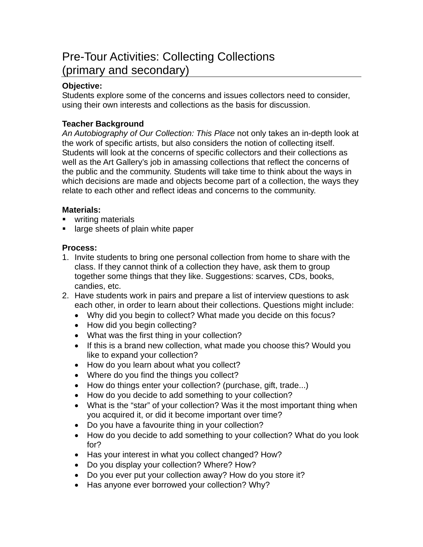# Pre-Tour Activities: Collecting Collections (primary and secondary)

# **Objective:**

Students explore some of the concerns and issues collectors need to consider, using their own interests and collections as the basis for discussion.

# **Teacher Background**

*An Autobiography of Our Collection: This Place* not only takes an in-depth look at the work of specific artists, but also considers the notion of collecting itself. Students will look at the concerns of specific collectors and their collections as well as the Art Gallery's job in amassing collections that reflect the concerns of the public and the community. Students will take time to think about the ways in which decisions are made and objects become part of a collection, the ways they relate to each other and reflect ideas and concerns to the community.

# **Materials:**

- **writing materials**
- large sheets of plain white paper

# **Process:**

- 1. Invite students to bring one personal collection from home to share with the class. If they cannot think of a collection they have, ask them to group together some things that they like. Suggestions: scarves, CDs, books, candies, etc.
- 2. Have students work in pairs and prepare a list of interview questions to ask each other, in order to learn about their collections. Questions might include:
	- Why did you begin to collect? What made you decide on this focus?
	- How did you begin collecting?
	- What was the first thing in your collection?
	- If this is a brand new collection, what made you choose this? Would you like to expand your collection?
	- How do you learn about what you collect?
	- Where do you find the things you collect?
	- How do things enter your collection? (purchase, gift, trade...)
	- How do you decide to add something to your collection?
	- What is the "star" of your collection? Was it the most important thing when you acquired it, or did it become important over time?
	- Do you have a favourite thing in your collection?
	- How do you decide to add something to your collection? What do you look for?
	- Has your interest in what you collect changed? How?
	- Do you display your collection? Where? How?
	- Do you ever put your collection away? How do you store it?
	- Has anyone ever borrowed your collection? Why?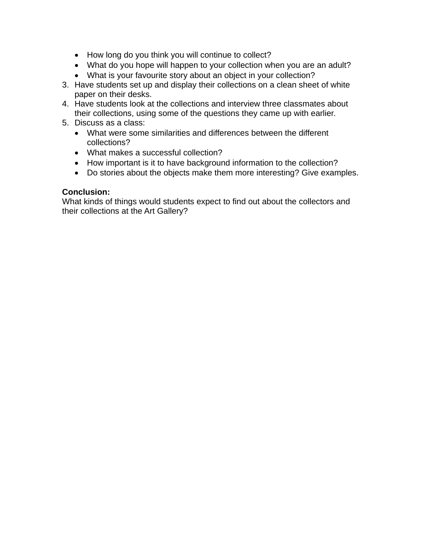- How long do you think you will continue to collect?
- What do you hope will happen to your collection when you are an adult?
- What is your favourite story about an object in your collection?
- 3. Have students set up and display their collections on a clean sheet of white paper on their desks.
- 4. Have students look at the collections and interview three classmates about their collections, using some of the questions they came up with earlier.
- 5. Discuss as a class:
	- What were some similarities and differences between the different collections?
	- What makes a successful collection?
	- How important is it to have background information to the collection?
	- Do stories about the objects make them more interesting? Give examples.

## **Conclusion:**

What kinds of things would students expect to find out about the collectors and their collections at the Art Gallery?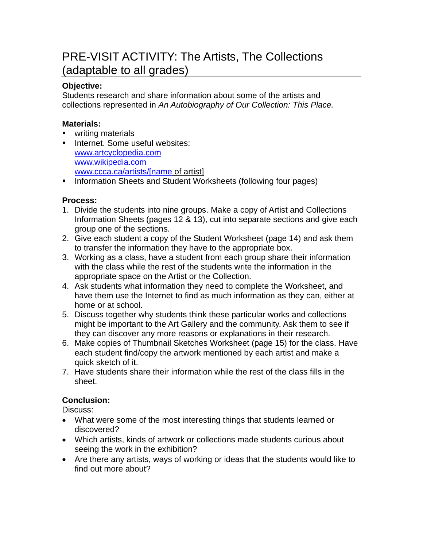# PRE-VISIT ACTIVITY: The Artists, The Collections (adaptable to all grades)

## **Objective:**

Students research and share information about some of the artists and collections represented in *An Autobiography of Our Collection: This Place.* 

## **Materials:**

- writing materials
- **Internet. Some useful websites:** [www.artcyclopedia.com](http://www.artcyclopedia.com/) [www.wikipedia.com](http://www.wikipedia.com/) [www.ccca.ca/artists/\[name](http://www.ccca.ca/artists/%5Bname) of artist]
- **Information Sheets and Student Worksheets (following four pages)**

### **Process:**

- 1. Divide the students into nine groups. Make a copy of Artist and Collections Information Sheets (pages 12 & 13), cut into separate sections and give each group one of the sections.
- 2. Give each student a copy of the Student Worksheet (page 14) and ask them to transfer the information they have to the appropriate box.
- 3. Working as a class, have a student from each group share their information with the class while the rest of the students write the information in the appropriate space on the Artist or the Collection.
- 4. Ask students what information they need to complete the Worksheet, and have them use the Internet to find as much information as they can, either at home or at school.
- 5. Discuss together why students think these particular works and collections might be important to the Art Gallery and the community. Ask them to see if they can discover any more reasons or explanations in their research.
- 6. Make copies of Thumbnail Sketches Worksheet (page 15) for the class. Have each student find/copy the artwork mentioned by each artist and make a quick sketch of it.
- 7. Have students share their information while the rest of the class fills in the sheet.

# **Conclusion:**

Discuss:

- What were some of the most interesting things that students learned or discovered?
- Which artists, kinds of artwork or collections made students curious about seeing the work in the exhibition?
- Are there any artists, ways of working or ideas that the students would like to find out more about?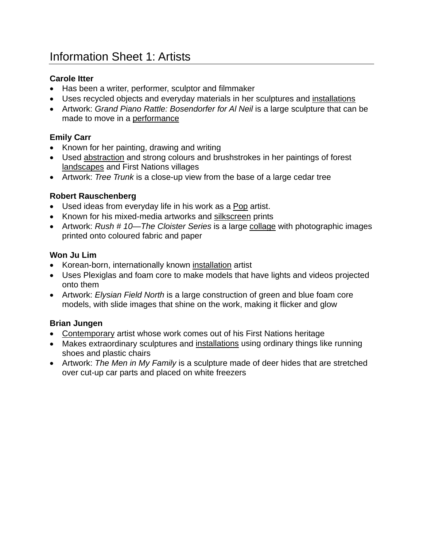# **Carole Itter**

- Has been a writer, performer, sculptor and filmmaker
- Uses recycled objects and everyday materials in her sculptures and installations
- Artwork: *Grand Piano Rattle: Bosendorfer for AI Neil* is a large sculpture that can be made to move in a performance

# **Emily Carr**

- Known for her painting, drawing and writing
- Used abstraction and strong colours and brushstrokes in her paintings of forest landscapes and First Nations villages
- Artwork: *Tree Trunk* is a close-up view from the base of a large cedar tree

# **Robert Rauschenberg**

- Used ideas from everyday life in his work as a Pop artist.
- Known for his mixed-media artworks and silkscreen prints
- Artwork: *Rush # 10—The Cloister Series* is a large collage with photographic images printed onto coloured fabric and paper

# **Won Ju Lim**

- Korean-born, internationally known installation artist
- Uses Plexiglas and foam core to make models that have lights and videos projected onto them
- Artwork: *Elysian Field North* is a large construction of green and blue foam core models, with slide images that shine on the work, making it flicker and glow

# **Brian Jungen**

- Contemporary artist whose work comes out of his First Nations heritage
- Makes extraordinary sculptures and installations using ordinary things like running shoes and plastic chairs
- Artwork: *The Men in My Family* is a sculpture made of deer hides that are stretched over cut-up car parts and placed on white freezers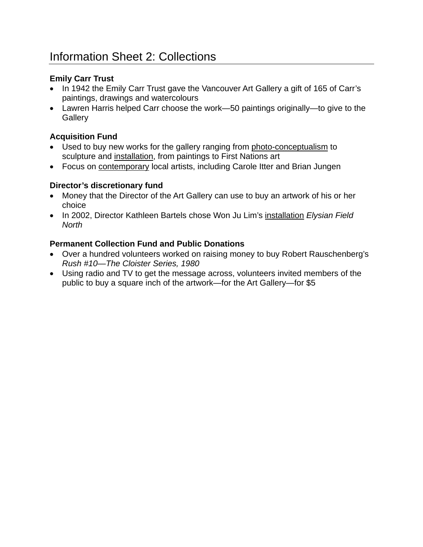# **Emily Carr Trust**

- In 1942 the Emily Carr Trust gave the Vancouver Art Gallery a gift of 165 of Carr's paintings, drawings and watercolours
- Lawren Harris helped Carr choose the work—50 paintings originally—to give to the **Gallery**

# **Acquisition Fund**

- Used to buy new works for the gallery ranging from photo-conceptualism to sculpture and installation, from paintings to First Nations art
- Focus on **contemporary local artists, including Carole Itter and Brian Jungen**

# **Director's discretionary fund**

- Money that the Director of the Art Gallery can use to buy an artwork of his or her choice
- In 2002, Director Kathleen Bartels chose Won Ju Lim's installation *Elysian Field North*

# **Permanent Collection Fund and Public Donations**

- Over a hundred volunteers worked on raising money to buy Robert Rauschenberg's *Rush #10—The Cloister Series, 1980*
- Using radio and TV to get the message across, volunteers invited members of the public to buy a square inch of the artwork—for the Art Gallery—for \$5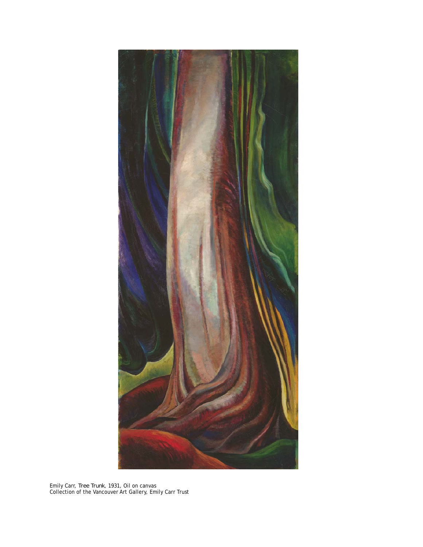

Emily Carr, *Tree Trunk*, 1931, Oil on canvas Collection of the Vancouver Art Gallery, Emily Carr Trust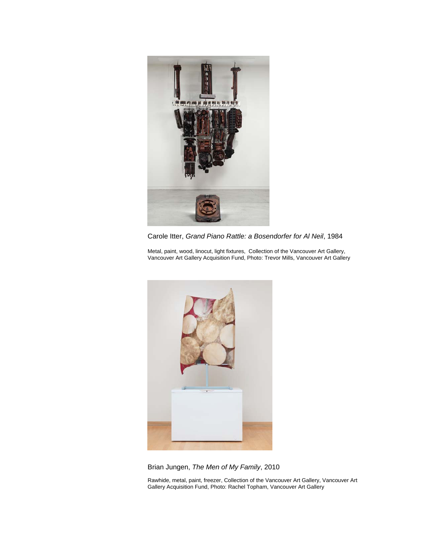

Carole Itter, *Grand Piano Rattle: a Bosendorfer for Al Neil*, 1984

Metal, paint, wood, linocut, light fixtures, Collection of the Vancouver Art Gallery, Vancouver Art Gallery Acquisition Fund, Photo: Trevor Mills, Vancouver Art Gallery



Brian Jungen, *The Men of My Family*, 2010

Rawhide, metal, paint, freezer, Collection of the Vancouver Art Gallery, Vancouver Art Gallery Acquisition Fund, Photo: Rachel Topham, Vancouver Art Gallery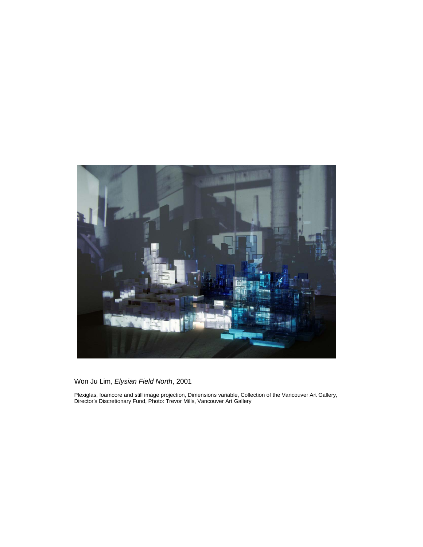

Won Ju Lim, *Elysian Field North*, 2001

Plexiglas, foamcore and still image projection, Dimensions variable, Collection of the Vancouver Art Gallery, Director's Discretionary Fund, Photo: Trevor Mills, Vancouver Art Gallery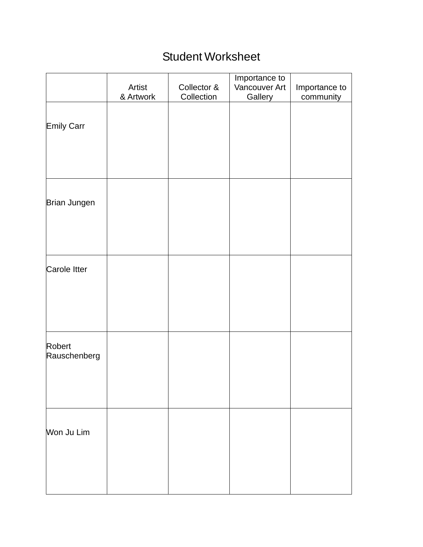# Student Worksheet

|                        | Artist<br>& Artwork | Collector &<br>Collection | Importance to<br>Vancouver Art<br>Gallery | Importance to<br>community |
|------------------------|---------------------|---------------------------|-------------------------------------------|----------------------------|
| Emily Carr             |                     |                           |                                           |                            |
| Brian Jungen           |                     |                           |                                           |                            |
| Carole Itter           |                     |                           |                                           |                            |
| Robert<br>Rauschenberg |                     |                           |                                           |                            |
|                        |                     |                           |                                           |                            |
| Won Ju Lim             |                     |                           |                                           |                            |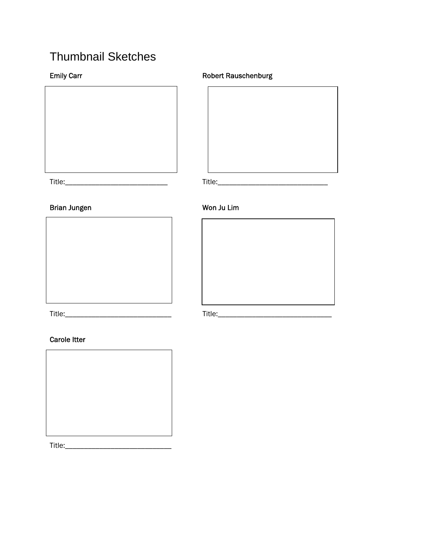# Thumbnail Sketches



# <u> 1980 - Johann Barbara, martxa a</u>

# Brian Jungen Won Ju Lim





Title:\_\_\_\_\_\_\_\_\_\_\_\_\_\_\_\_\_\_\_\_\_\_\_\_\_\_\_\_ Title:\_\_\_\_\_\_\_\_\_\_\_\_\_\_\_\_\_\_\_\_\_\_\_\_\_\_\_\_\_\_

### Carole Itter

Title:\_\_\_\_\_\_\_\_\_\_\_\_\_\_\_\_\_\_\_\_\_\_\_\_\_\_\_\_

## Emily Carr **Robert Rauschenburg Emily Carr** Robert Rauschenburg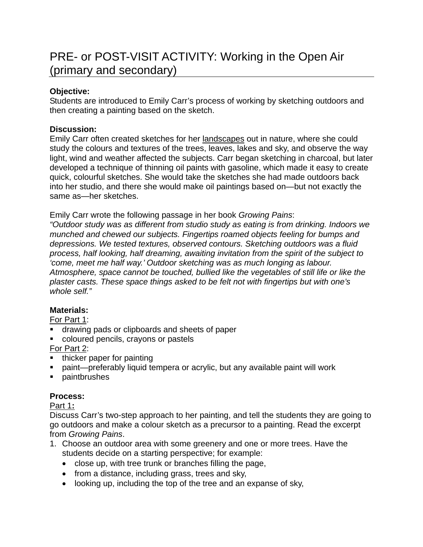# PRE- or POST-VISIT ACTIVITY: Working in the Open Air (primary and secondary)

# **Objective:**

Students are introduced to Emily Carr's process of working by sketching outdoors and then creating a painting based on the sketch.

# **Discussion:**

Emily Carr often created sketches for her landscapes out in nature, where she could study the colours and textures of the trees, leaves, lakes and sky, and observe the way light, wind and weather affected the subjects. Carr began sketching in charcoal, but later developed a technique of thinning oil paints with gasoline, which made it easy to create quick, colourful sketches. She would take the sketches she had made outdoors back into her studio, and there she would make oil paintings based on—but not exactly the same as—her sketches.

Emily Carr wrote the following passage in her book *Growing Pains*:

*"Outdoor study was as different from studio study as eating is from drinking. Indoors we munched and chewed our subjects. Fingertips roamed objects feeling for bumps and depressions. We tested textures, observed contours. Sketching outdoors was a fluid process, half looking, half dreaming, awaiting invitation from the spirit of the subject to 'come, meet me half way.' Outdoor sketching was as much longing as labour. Atmosphere, space cannot be touched, bullied like the vegetables of still life or like the plaster casts. These space things asked to be felt not with fingertips but with one's whole self."* 

# **Materials:**

For Part 1:

- drawing pads or clipboards and sheets of paper
- coloured pencils, crayons or pastels

For Part 2:

- thicker paper for painting
- paint—preferably liquid tempera or acrylic, but any available paint will work
- **paintbrushes**

# **Process:**

# Part 1**:**

Discuss Carr's two-step approach to her painting, and tell the students they are going to go outdoors and make a colour sketch as a precursor to a painting. Read the excerpt from *Growing Pains*.

- 1. Choose an outdoor area with some greenery and one or more trees. Have the students decide on a starting perspective; for example:
	- close up, with tree trunk or branches filling the page,
	- from a distance, including grass, trees and sky,
	- looking up, including the top of the tree and an expanse of sky,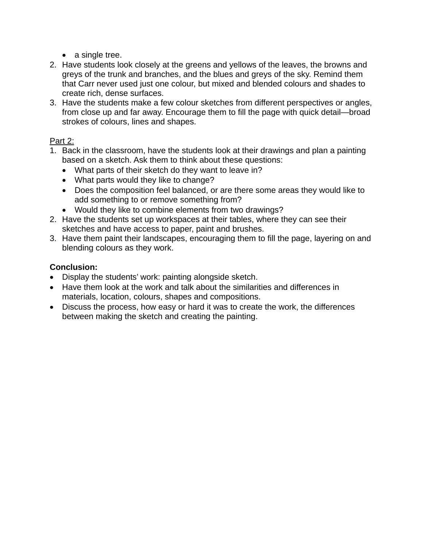- a single tree.
- 2. Have students look closely at the greens and yellows of the leaves, the browns and greys of the trunk and branches, and the blues and greys of the sky. Remind them that Carr never used just one colour, but mixed and blended colours and shades to create rich, dense surfaces.
- 3. Have the students make a few colour sketches from different perspectives or angles, from close up and far away. Encourage them to fill the page with quick detail—broad strokes of colours, lines and shapes.

### Part 2:

- 1. Back in the classroom, have the students look at their drawings and plan a painting based on a sketch. Ask them to think about these questions:
	- What parts of their sketch do they want to leave in?
	- What parts would they like to change?
	- Does the composition feel balanced, or are there some areas they would like to add something to or remove something from?
	- Would they like to combine elements from two drawings?
- 2. Have the students set up workspaces at their tables, where they can see their sketches and have access to paper, paint and brushes.
- 3. Have them paint their landscapes, encouraging them to fill the page, layering on and blending colours as they work.

# **Conclusion:**

- Display the students' work: painting alongside sketch.
- Have them look at the work and talk about the similarities and differences in materials, location, colours, shapes and compositions.
- Discuss the process, how easy or hard it was to create the work, the differences between making the sketch and creating the painting.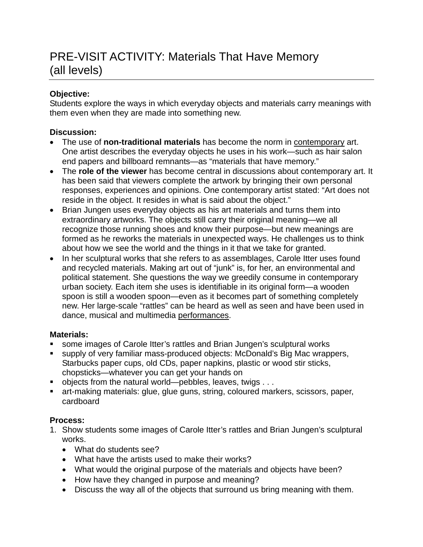# PRE-VISIT ACTIVITY: Materials That Have Memory (all levels)

# **Objective:**

Students explore the ways in which everyday objects and materials carry meanings with them even when they are made into something new.

# **Discussion:**

- The use of **non-traditional materials** has become the norm in contemporary art. One artist describes the everyday objects he uses in his work—such as hair salon end papers and billboard remnants—as "materials that have memory."
- The **role of the viewer** has become central in discussions about contemporary art. It has been said that viewers complete the artwork by bringing their own personal responses, experiences and opinions. One contemporary artist stated: "Art does not reside in the object. It resides in what is said about the object."
- Brian Jungen uses everyday objects as his art materials and turns them into extraordinary artworks. The objects still carry their original meaning—we all recognize those running shoes and know their purpose—but new meanings are formed as he reworks the materials in unexpected ways. He challenges us to think about how we see the world and the things in it that we take for granted.
- In her sculptural works that she refers to as assemblages, Carole Itter uses found and recycled materials. Making art out of "junk" is, for her, an environmental and political statement. She questions the way we greedily consume in contemporary urban society. Each item she uses is identifiable in its original form—a wooden spoon is still a wooden spoon—even as it becomes part of something completely new. Her large-scale "rattles" can be heard as well as seen and have been used in dance, musical and multimedia performances.

# **Materials:**

- some images of Carole Itter's rattles and Brian Jungen's sculptural works
- supply of very familiar mass-produced objects: McDonald's Big Mac wrappers, Starbucks paper cups, old CDs, paper napkins, plastic or wood stir sticks, chopsticks—whatever you can get your hands on
- $\blacksquare$  objects from the natural world—pebbles, leaves, twigs . . .
- art-making materials: glue, glue guns, string, coloured markers, scissors, paper, cardboard

# **Process:**

- 1. Show students some images of Carole Itter's rattles and Brian Jungen's sculptural works.
	- What do students see?
	- What have the artists used to make their works?
	- What would the original purpose of the materials and objects have been?
	- How have they changed in purpose and meaning?
	- Discuss the way all of the objects that surround us bring meaning with them.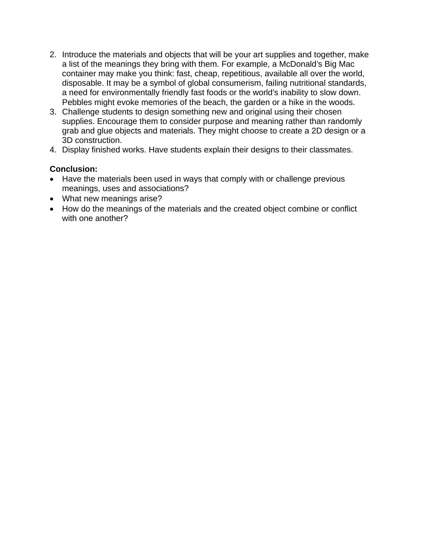- 2. Introduce the materials and objects that will be your art supplies and together, make a list of the meanings they bring with them. For example, a McDonald's Big Mac container may make you think: fast, cheap, repetitious, available all over the world, disposable. It may be a symbol of global consumerism, failing nutritional standards, a need for environmentally friendly fast foods or the world's inability to slow down. Pebbles might evoke memories of the beach, the garden or a hike in the woods.
- 3. Challenge students to design something new and original using their chosen supplies. Encourage them to consider purpose and meaning rather than randomly grab and glue objects and materials. They might choose to create a 2D design or a 3D construction.
- 4. Display finished works. Have students explain their designs to their classmates.

### **Conclusion:**

- Have the materials been used in ways that comply with or challenge previous meanings, uses and associations?
- What new meanings arise?
- How do the meanings of the materials and the created object combine or conflict with one another?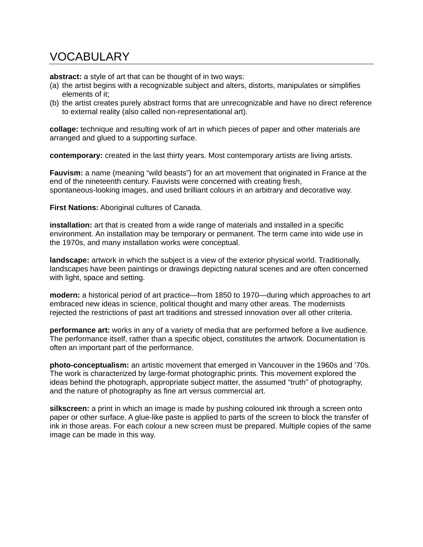# VOCABULARY

**abstract:** a style of art that can be thought of in two ways:

- (a) the artist begins with a recognizable subject and alters, distorts, manipulates or simplifies elements of it;
- (b) the artist creates purely abstract forms that are unrecognizable and have no direct reference to external reality (also called non-representational art).

**collage:** technique and resulting work of art in which pieces of paper and other materials are arranged and glued to a supporting surface.

**contemporary:** created in the last thirty years. Most contemporary artists are living artists.

**Fauvism:** a name (meaning "wild beasts") for an art movement that originated in France at the end of the nineteenth century. Fauvists were concerned with creating fresh, spontaneous-looking images, and used brilliant colours in an arbitrary and decorative way.

**First Nations:** Aboriginal cultures of Canada.

**installation:** art that is created from a wide range of materials and installed in a specific environment. An installation may be temporary or permanent. The term came into wide use in the 1970s, and many installation works were conceptual.

**landscape:** artwork in which the subject is a view of the exterior physical world. Traditionally, landscapes have been paintings or drawings depicting natural scenes and are often concerned with light, space and setting.

**modern:** a historical period of art practice—from 1850 to 1970—during which approaches to art embraced new ideas in science, political thought and many other areas. The modernists rejected the restrictions of past art traditions and stressed innovation over all other criteria.

**performance art:** works in any of a variety of media that are performed before a live audience. The performance itself, rather than a specific object, constitutes the artwork. Documentation is often an important part of the performance.

**photo-conceptualism:** an artistic movement that emerged in Vancouver in the 1960s and '70s. The work is characterized by large-format photographic prints. This movement explored the ideas behind the photograph, appropriate subject matter, the assumed "truth" of photography, and the nature of photography as fine art versus commercial art.

**silkscreen:** a print in which an image is made by pushing coloured ink through a screen onto paper or other surface. A glue-like paste is applied to parts of the screen to block the transfer of ink in those areas. For each colour a new screen must be prepared. Multiple copies of the same image can be made in this way.